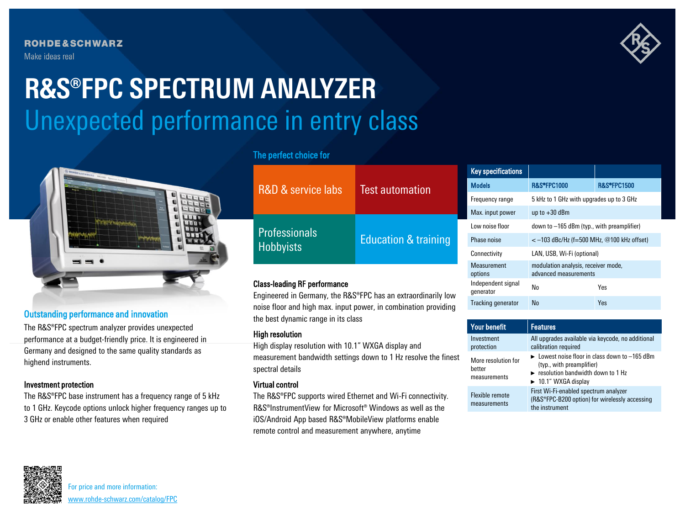**ROHDE&SCHWARZ** Make ideas real

# Unexpected performance in entry class **R&S®FPC SPECTRUM ANALYZER**



# Outstanding performance and innovation

The R&S®FPC spectrum analyzer provides unexpected performance at a budget-friendly price. It is engineered in Germany and designed to the same quality standards as highend instruments.

## Investment protection

The R&S®FPC base instrument has a frequency range of 5 kHz to 1 GHz. Keycode options unlock higher frequency ranges up to 3 GHz or enable other features when required

# The perfect choice for

Class-leading RF performance

the best dynamic range in its class

| R&D & service labs                       | <b>Test automation</b>          |
|------------------------------------------|---------------------------------|
| <b>Professionals</b><br><b>Hobbyists</b> | <b>Education &amp; training</b> |

Engineered in Germany, the R&S®FPC has an extraordinarily low noise floor and high max. input power, in combination providing

The R&S®FPC supports wired Ethernet and Wi-Fi connectivity. R&S®InstrumentView for Microsoft® Windows as well as the iOS/Android App based R&S®MobileView platforms enable remote control and measurement anywhere, anytime

### Key specifications Models R&S®FPC1000 R&S®FPC1500 Frequency range 5 kHz to 1 GHz with upgrades up to 3 GHz Max input power  $\frac{1}{2}$  up to  $+30$  dBm Low noise floor  $down to -165$  dBm (typ., with preamplifier) Phase noise  $<-103$  dBc/Hz (f=500 MHz, @100 kHz offset) Connectivity LAN, USB, Wi-Fi (optional) Measurement options modulation analysis, receiver mode, advanced measurements Independent signal Independent signal No No Yes Tracking generator No Yes

| and boot a gritanno rango in no oldoo                                                                                                                         | <b>Your benefit</b>                           | <b>Features</b>                                                                                                                                                                                |
|---------------------------------------------------------------------------------------------------------------------------------------------------------------|-----------------------------------------------|------------------------------------------------------------------------------------------------------------------------------------------------------------------------------------------------|
| <b>High resolution</b><br>High display resolution with 10.1" WXGA display and                                                                                 | Investment<br>protection                      | All upgrades available via keycode, no additional<br>calibration required                                                                                                                      |
| measurement bandwidth settings down to 1 Hz resolve the finest<br>spectral details<br><b>Virtual control</b>                                                  | More resolution for<br>better<br>measurements | $\triangleright$ Lowest noise floor in class down to $-165$ dBm<br>(typ., with preamplifier)<br>$\triangleright$ resolution bandwidth down to 1 Hz<br>$\blacktriangleright$ 10.1" WXGA display |
| The R&S <sup>®</sup> FPC supports wired Ethernet and Wi-Fi connectivity.<br>R&S <sup>®</sup> InstrumentView for Microsoft <sup>®</sup> Windows as well as the | Flexible remote<br>measurements               | First Wi-Fi-enabled spectrum analyzer<br>(R&S®FPC-B200 option) for wirelessly accessing<br>the instrument                                                                                      |